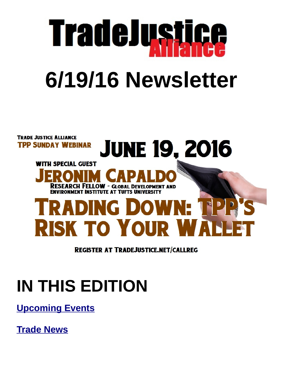

## **6/19/16 Newsletter**



**REGISTER AT TRADEJUSTICE.NET/CALLREG** 

### **IN THIS EDITION**

**[Upcoming Events](#page-1-0)**

**[Trade News](#page-2-0)**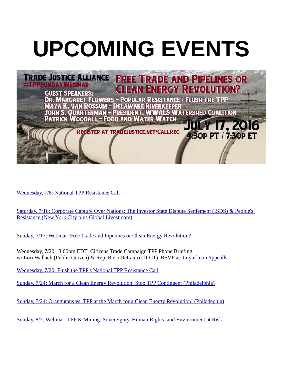# <span id="page-1-0"></span>**UPCOMING EVENTS**



[Wednesday, 7/6: National TPP Resistance Call](http://www.flushthetpp.org/national-tpp-resistance-calls/)

[Saturday, 7/16: Corporate Capture Over Nations: The Investor State Dispute Settlement \(ISDS\) & People's](https://www.facebook.com/events/1720747058142300/)  [Resistance \(New York City plus Global Livestream\)](https://www.facebook.com/events/1720747058142300/)

 [Sunday, 7/17: Webinar: Free Trade and Pipelines or Clean Energy Revolution?](https://www.facebook.com/events/1786349348261126/)

Wednesday, 7/20, 3:00pm EDT: Citizens Trade Campaign TPP Phone Briefing w/ Lori Wallach (Public Citizen) & Rep. Rosa DeLauro (D-CT) RSVP at: [tinyurl.com/tppcalls](http://www.tinyurl.com/tppcalls)

[Wednesday, 7/20: Flush the TPP's National TPP Resistance Call](https://www.facebook.com/events/1558412571129828/)

[Sunday, 7/24: March for a Clean Energy Revolution: Stop TPP Contingent \(Philadelphia\)](https://www.facebook.com/events/224502341252764/)

[Sunday, 7/24: Orangutans vs. TPP at the March for a Clean Energy Revolution! \(Philadephia\)](https://www.facebook.com/events/239143519803521/)

[Sunday, 8/7: Webinar: TPP & Mining: Sovereignty, Human Rights, and Environment at Risk](http://tradejustice.net/?page=MiningCall)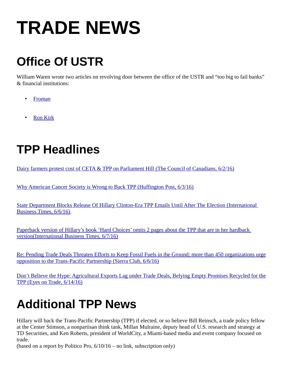### <span id="page-2-0"></span>**TRADE NEWS**

#### **Office Of USTR**

William Waren wrote two articles on revolving door between the office of the USTR and "too big to fail banks" & financial institutions:

- [Froman](https://medium.com/@foe_us/the-revolving-door-in-the-office-of-the-u-s-trade-representative-part-1-)
- [Ron Kirk](http://www.flushthetpp.org/revolving-door-career-path-of-former-ustr-ron-kirk/)

#### **TPP Headlines**

Dairy farmers protest cost of CETA & TPP on Parliament Hill (The Council of Canadians, 6/2/16)

[Why American Cancer Society is Wrong to Back TPP \(Huffington Post, 6/3/16\)](http://www.huffingtonpost.com/ellen-r-shaffer/oppose-the-trans-pacific_b_10280518.html)

[State Department Blocks Release Of Hillary Clinton-Era TPP Emails Until After The Election \(International](http://www.ibtimes.com/political-capital/state-department-blocks-release-hillary-clinton-era-tpp-emails-until-after)  [Business Times, 6/6/16\).](http://www.ibtimes.com/political-capital/state-department-blocks-release-hillary-clinton-era-tpp-emails-until-after)

 [Paperback version of Hillary's book 'Hard Choices' omits 2 pages about the TPP that are in her hardback](http://www.ibtimes.com/political-capital/hillary-clinton-state-department-memoir-omits-tpp-reference-paperback-edition)  version (International Business Times, 6/7/16)

[Re: Pending Trade Deals Threaten Efforts to Keep Fossil Fuels in the Ground; more than 450 organizations urge](https://www.sierraclub.org/sites/www.sierraclub.org/files/uploads-wysiwig/trade-keep-in-ground-letter.pdf)  [opposition to the Trans-Pacific Partnership \(Sierra Club, 6/6/16\)](https://www.sierraclub.org/sites/www.sierraclub.org/files/uploads-wysiwig/trade-keep-in-ground-letter.pdf)

[Don't Believe the Hype: Agricultural Exports Lag under Trade Deals, Belying Empty Promises Recycled for the](http://citizen.typepad.com/eyesontrade/2016/06/dont-believe-the-hype-agricultural-exports-lag-under-trade-deals-belying-empty-promises-recycled-for.html?utm_source=feedburner&utm_medium=email&utm_campaign=Feed:+eyesontrade+(Eyes+on+Trade)) [TPP \(Eyes on Trade, 6/14/16\)](http://citizen.typepad.com/eyesontrade/2016/06/dont-believe-the-hype-agricultural-exports-lag-under-trade-deals-belying-empty-promises-recycled-for.html?utm_source=feedburner&utm_medium=email&utm_campaign=Feed:+eyesontrade+(Eyes+on+Trade))

#### **Additional TPP News**

Hillary will back the Trans-Pacific Partnership (TPP) if elected, or so believe Bill Reinsch, a trade policy fellow at the Center Stimson, a nonpartisan think tank, Millan Mulraine, deputy head of U.S. research and strategy at TD Securities, and Ken Roberts, president of WorldCity, a Miami-based media and event company focused on trade.

(based on a report by Politico Pro, 6/10/16 – no link, subscription only)